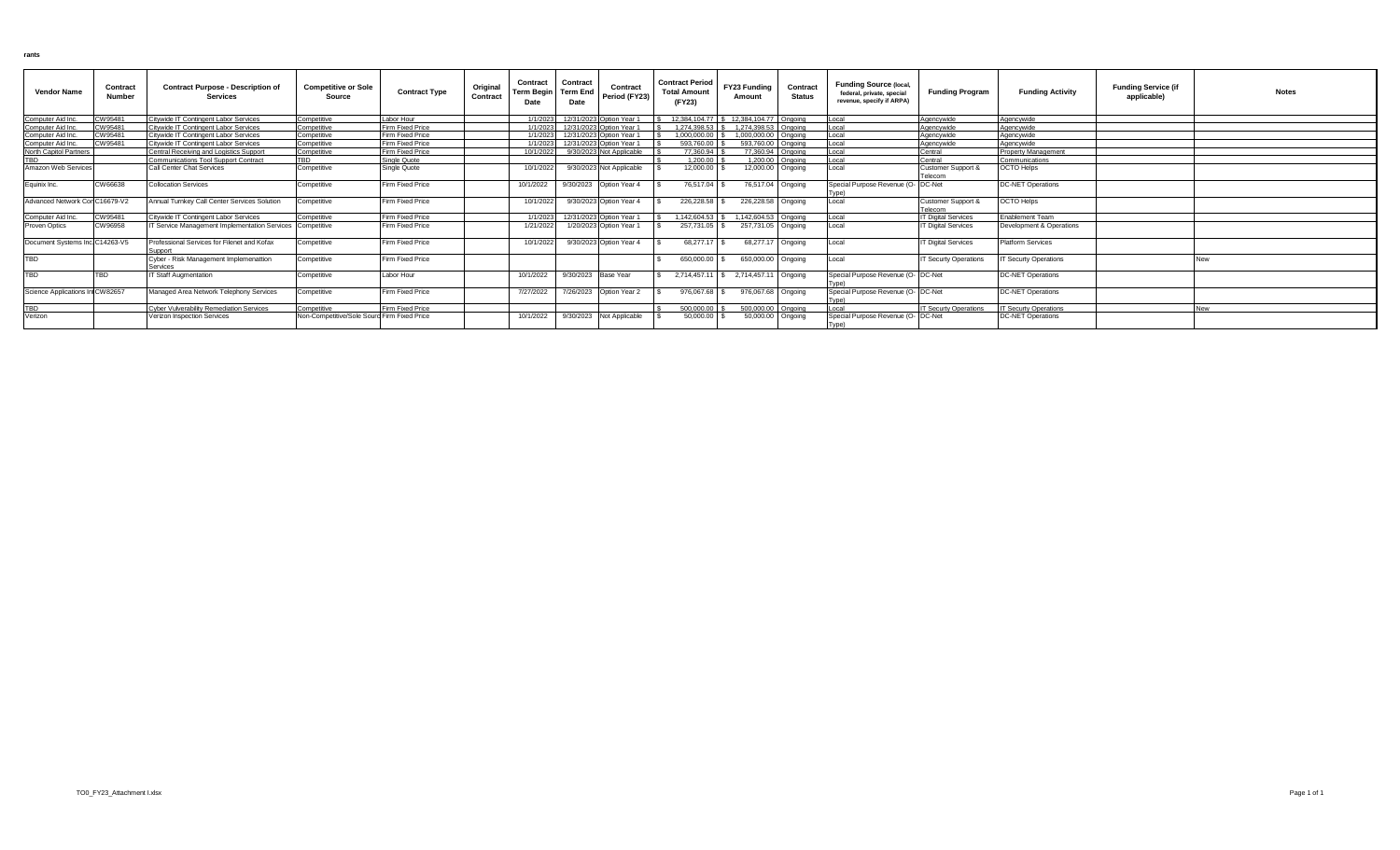| <b>Vendor Name</b>              | Contract<br>Number | <b>Contract Purpose - Description of</b><br><b>Services</b> | <b>Competitive or Sole</b><br>Source        | <b>Contract Type</b> | Original<br>Contract | Contract<br><b>Term Begin</b><br>Date | Contract<br><b>Term End</b><br>Date | Contract<br>Period (FY23)         | <b>Contract Period</b><br><b>Total Amount</b><br>(FY23) | FY23 Funding<br>Amount                 | Contract<br>Status | <b>Funding Source (local,</b><br>federal, private, special<br>revenue, specify if ARPA) | <b>Funding Program</b>        | <b>Funding Activity</b>      | <b>Funding Service (if</b><br>applicable) | <b>Notes</b> |
|---------------------------------|--------------------|-------------------------------------------------------------|---------------------------------------------|----------------------|----------------------|---------------------------------------|-------------------------------------|-----------------------------------|---------------------------------------------------------|----------------------------------------|--------------------|-----------------------------------------------------------------------------------------|-------------------------------|------------------------------|-------------------------------------------|--------------|
| Computer Aid Inc.               | CW95481            | Citywide IT Contingent Labor Services                       | Competitive                                 | Labor Hour           |                      | 1/1/2023                              |                                     | 12/31/2023 Option Year 1          |                                                         | 12.384.104.77 \$ 12.384.104.77 Ongoing |                    | Local                                                                                   | Agencywide                    | Agencywide                   |                                           |              |
| Computer Aid Inc.               | CW95481            | Citywide IT Contingent Labor Services                       | Competitive                                 | Firm Fixed Price     |                      | 1/1/2023                              |                                     | 12/31/2023 Option Year 1          |                                                         | 1.274.398.53 \$ 1.274.398.53 Ongoing   |                    | Local                                                                                   | Agencywide                    | Agencywide                   |                                           |              |
| omputer Aid Inc.                | CW95481            | Citywide IT Contingent Labor Services                       | Competitive                                 | Firm Fixed Price     |                      | 1/1/2023                              |                                     | 12/31/2023 Option Year 1          | 1.000.000.00                                            | 1.000.000.00 Ongoing                   |                    | ocal                                                                                    | Agencywide                    | Agencywide                   |                                           |              |
| Computer Aid Inc.               | CW95481            | Citywide IT Contingent Labor Services                       | Competitive                                 | Firm Fixed Price     |                      |                                       |                                     | 1/1/2023 12/31/2023 Option Year 1 | 593,760.00                                              | 593.760.00 Ongoing                     |                    | ocal                                                                                    | Agencywide                    | Agencywide                   |                                           |              |
| North Capitol Partners          |                    | Central Receiving and Logistics Support                     | Competitive                                 | Firm Fixed Price     |                      | 10/1/2022                             |                                     | 9/30/2023 Not Applicable          | 77,360,94                                               | 77,360,94 Ongoing                      |                    | Local                                                                                   | Central                       | Property Management          |                                           |              |
|                                 |                    | <b>Communications Tool Support Contract</b>                 | TBD                                         | Single Quote         |                      |                                       |                                     |                                   | 1,200.00                                                |                                        | 1.200.00 Ongoing   | ocal                                                                                    | Central                       | Communications               |                                           |              |
| Amazon Web Service              |                    | Call Center Chat Services                                   | Competitive                                 | Single Quote         |                      | 10/1/2022                             |                                     | 9/30/2023 Not Applicable          | 12.000.00                                               |                                        | 12,000.00 Ongoing  | Local                                                                                   | Customer Support &<br>Telecom | OCTO Helps                   |                                           |              |
| Eauinix Inc.                    | CW66638            | <b>Collocation Services</b>                                 | Competitive                                 | Firm Fixed Price     |                      | 10/1/2022                             |                                     | 9/30/2023   Option Year 4         | 76.517.04                                               | 76,517.04 Ongoing                      |                    | Special Purpose Revenue (O- DC-Net<br>[vpe)                                             |                               | <b>DC-NET Operations</b>     |                                           |              |
| Advanced Network Cor C16679-V2  |                    | Annual Turnkey Call Center Services Solution                | Competitive                                 | Firm Fixed Price     |                      | 10/1/2022                             |                                     | 9/30/2023 Option Year 4           | 226,228.58                                              | 226,228.58 Ongoing                     |                    | Local                                                                                   | Customer Support &<br>Felecom | <b>OCTO Helps</b>            |                                           |              |
| Computer Aid Inc.               | CW95481            | Citywide IT Contingent Labor Services                       | Competitive                                 | Firm Fixed Price     |                      | 1/1/2023                              |                                     | 12/31/2023 Option Year 1          | 1.142.604.53                                            | 1.142.604.53 Ongoing                   |                    | ocal                                                                                    | <b>IT Digital Services</b>    | <b>Fnablement Team</b>       |                                           |              |
| Proven Optics                   | CW96958            | IT Service Management Implementation Services Competitive   |                                             | Firm Fixed Price     |                      | 1/21/2022                             |                                     | 1/20/2023 Option Year 1           | 257,731.05                                              | 257,731.05 Ongoing                     |                    | ocal                                                                                    | <b>T Digital Services</b>     | Development & Operations     |                                           |              |
| Document Systems Inc C14263-V5  |                    | Professional Services for Filenet and Kofax<br>Support      | Competitive                                 | Firm Fixed Price     |                      | 10/1/2022                             |                                     | 9/30/2023 Option Year 4           | 68.277.17                                               |                                        | 68,277.17 Ongoing  | Local                                                                                   | <b>T Digital Services</b>     | <b>Platform Services</b>     |                                           |              |
| <b>TBD</b>                      |                    | Cyber - Risk Management Implemenattion<br>Services          | Competitive                                 | Firm Fixed Price     |                      |                                       |                                     |                                   | 650,000.00                                              | 650,000.00 Ongoing                     |                    | Local                                                                                   | IT Securty Operations         | <b>IT Securty Operations</b> |                                           |              |
| <b>FBD</b>                      | <b>TBD</b>         | <b>IT Staff Augmentation</b>                                | Competitive                                 | Labor Hour           |                      | 10/1/2022                             | 9/30/2023 Base Year                 |                                   | 2.714.457.1                                             | 2,714,457.11 Ongoing                   |                    | Special Purpose Revenue (O- DC-Net                                                      |                               | <b>DC-NET Operations</b>     |                                           |              |
| Science Applications In CW82657 |                    | Managed Area Network Telephony Services                     | Competitive                                 | Firm Fixed Price     |                      | 7/27/2022                             |                                     | 7/26/2023    Option Year 2        | 976.067.68                                              | 976,067.68 Ongoing                     |                    | Special Purpose Revenue (O- DC-Net                                                      |                               | <b>DC-NET Operations</b>     |                                           |              |
|                                 |                    | <b>Cyber Vulverability Remediation Services</b>             | Competitive                                 | Firm Fixed Price     |                      |                                       |                                     |                                   | 500.000.00                                              | 500,000.00 Ongoing                     |                    | ocal                                                                                    | <b>IT Securty Operations</b>  | <b>IT Securty Operations</b> |                                           | New          |
| /erizor                         |                    | Verizon Inspection Services                                 | Non-Competitive/Sole Sourd Firm Fixed Price |                      |                      | 10/1/2022                             |                                     | 9/30/2023 Not Applicable          | 50,000.00                                               | 50,000.00 Ongoing                      |                    | Special Purpose Revenue (O- DC-Net<br>Tvne)                                             |                               | <b>DC-NET Operations</b>     |                                           |              |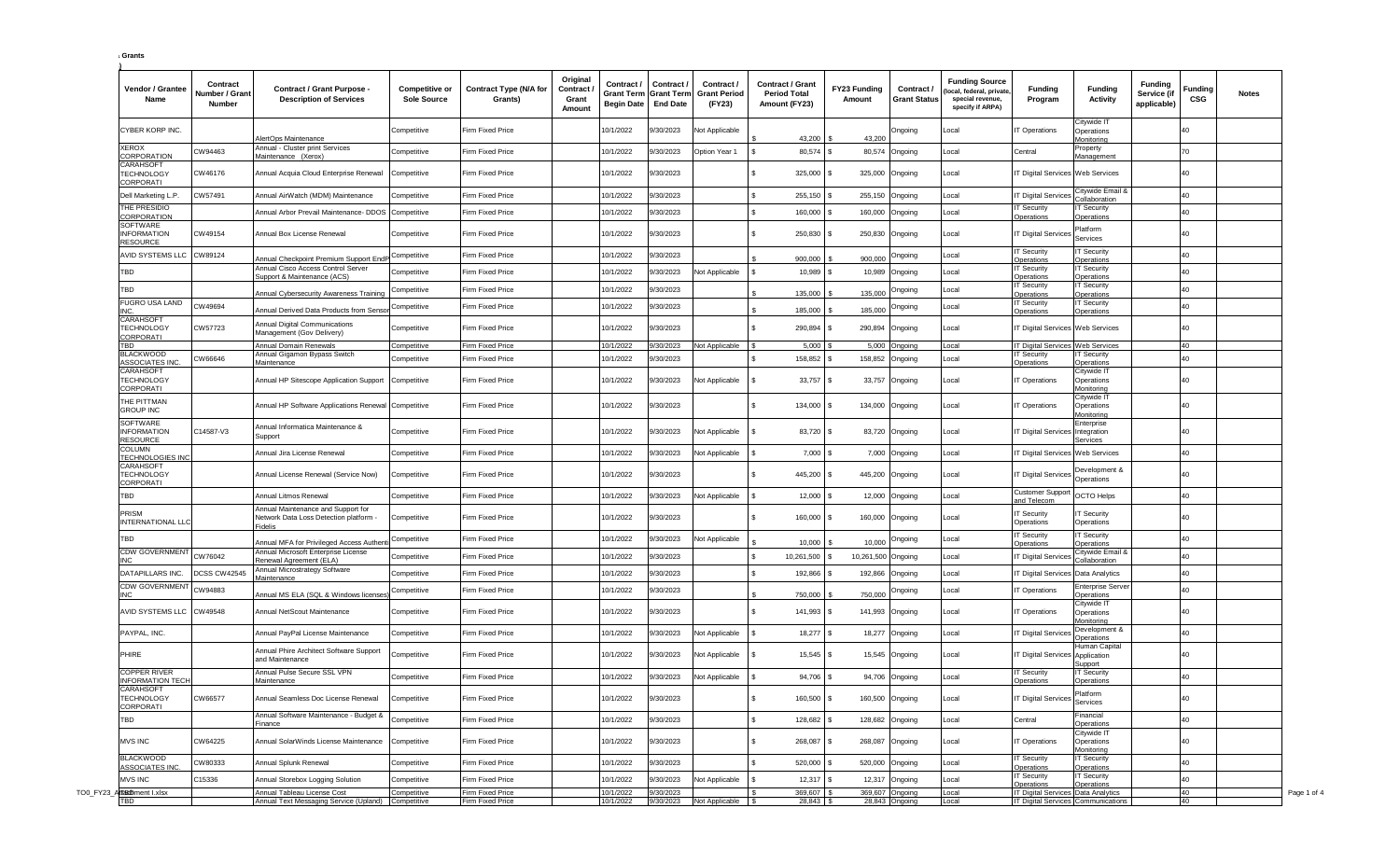| <b>Grants</b> |
|---------------|
|               |

| Vendor / Grantee<br>Name                                  | Contract<br><b>Jumber / Grant</b><br>Number | Contract / Grant Purpose -<br><b>Description of Services</b>                            | <b>Competitive or</b><br>Sole Source | <b>Contract Type (N/A for</b><br>Grants) | Original<br>Contract<br>Grant<br>Amount | Contract /<br><b>Grant Term</b><br><b>Begin Date</b> | Contract /<br><b>Grant Term</b><br><b>End Date</b> | Contract /<br>Grant Period<br>(FY23) | <b>Contract / Grant</b><br><b>Period Total</b><br>Amount (FY23) | FY23 Funding<br>Amount | Contract /<br><b>Grant Status</b> | <b>Funding Source</b><br>local, federal, private<br>special revenue,<br>specify if ARPA) | <b>Funding</b><br>Program                               | <b>Funding</b><br><b>Activity</b>                   | <b>Funding</b><br>Service (if<br>applicable) | Funding<br>CSG | <b>Notes</b> |
|-----------------------------------------------------------|---------------------------------------------|-----------------------------------------------------------------------------------------|--------------------------------------|------------------------------------------|-----------------------------------------|------------------------------------------------------|----------------------------------------------------|--------------------------------------|-----------------------------------------------------------------|------------------------|-----------------------------------|------------------------------------------------------------------------------------------|---------------------------------------------------------|-----------------------------------------------------|----------------------------------------------|----------------|--------------|
| CYBER KORP INC.                                           |                                             | NertOps Maintenance                                                                     | Competitive                          | irm Fixed Price                          |                                         | 10/1/2022                                            | /30/2023                                           | lot Applicable                       | 43,200                                                          | 43,200                 | Ongoing                           | Local                                                                                    | Operations                                              | Citywide IT<br>Operations<br>Monitoring             |                                              | 40             |              |
| <b>XEROX</b><br>CORPORATION                               | CW94463                                     | Annual - Cluster print Services<br>Maintenance (Xerox)                                  | Competitive                          | irm Fixed Price                          |                                         | 10/1/2022                                            | 3/30/2023                                          | Option Year 1                        | 80,574                                                          | 80,574                 | Ongoing                           | Local                                                                                    | Central                                                 | Property<br>Management                              |                                              | 70             |              |
| CARAHSOFT<br><b><i>FECHNOLOGY</i></b><br>CORPORATI        | CW46176                                     | Annual Acquia Cloud Enterprise Renewal                                                  | Competitive                          | Firm Fixed Price                         |                                         | 10/1/2022                                            | 3/0/2023                                           |                                      | 325,000                                                         |                        | 325,000 Ongoing                   | Local                                                                                    | T Digital Services Web Services                         |                                                     |                                              | 40             |              |
| Dell Marketing L.P.                                       | CW57491                                     | Annual AirWatch (MDM) Maintenance                                                       | Competitive                          | irm Fixed Price                          |                                         | 0/1/2022                                             | 3/30/2023                                          |                                      | 255,150                                                         |                        | 255,150 Ongoing                   | Local                                                                                    | T Digital Service                                       | Citywide Email &<br>Collaboration                   |                                              | 40             |              |
| THE PRESIDIO<br>CORPORATION                               |                                             | Annual Arbor Prevail Maintenance- DDOS                                                  | Competitive                          | Firm Fixed Price                         |                                         | 10/1/2022                                            | /30/2023                                           |                                      | 160,000                                                         | 160,000                | Ongoing                           | Local                                                                                    | T Security<br>perations                                 | <b>IT Security</b><br>Operations                    |                                              | 40             |              |
| SOFTWARE<br><b>INFORMATION</b><br><b>RESOURCE</b>         | CW49154                                     | Annual Box License Renewal                                                              | Competitive                          | <b>Firm Fixed Price</b>                  |                                         | 10/1/2022                                            | 9/30/2023                                          |                                      | 250,830                                                         | 250,830                | Ongoing                           | Local                                                                                    | <b>T Digital Services</b>                               | Platform<br>Services                                |                                              | 40             |              |
| AVID SYSTEMS LLC CW89124                                  |                                             | Annual Checkpoint Premium Support EndP                                                  | Competitive                          | Firm Fixed Price                         |                                         | 10/1/2022                                            | 9/30/2023                                          |                                      | 900,000                                                         | 900,000                | Ongoing                           | Local                                                                                    | T Security<br>Operations                                | <b>IT Security</b><br>Operations                    |                                              | 40             |              |
| TBD                                                       |                                             | Annual Cisco Access Control Server<br>Support & Maintenance (ACS)                       | Competitive                          | irm Fixed Price                          |                                         | 10/1/2022                                            | 9/30/2023                                          | lot Applicable                       | 10,989                                                          | 10,989                 | Ongoing                           | Local                                                                                    | <b>T</b> Security<br><b>Operations</b>                  | <b>IT Security</b><br>Operations                    |                                              | 40             |              |
| TBD                                                       |                                             | Annual Cybersecurity Awareness Training                                                 | Competitive                          | irm Fixed Price                          |                                         | 10/1/2022                                            | 3/30/2023                                          |                                      | 135,000                                                         | 135,000                | Ongoing                           | Local                                                                                    | T Security<br>perations                                 | <b>IT Security</b><br>Operations                    |                                              | 40             |              |
| <b>FUGRO USA LAND</b>                                     | CW49694                                     | Annual Derived Data Products from Senso                                                 | Competitive                          | irm Fixed Price                          |                                         | 10/1/2022                                            | 3/30/2023                                          |                                      | 185,000                                                         | 185,000                | Ongoing                           | Local                                                                                    | <b>T Security</b><br>perations                          | <b>IT Security</b><br>Operations                    |                                              | 40             |              |
| CARAHSOF<br><b>TECHNOLOGY</b><br>CORPORATI                | CW57723                                     | Annual Digital Communications<br>Management (Gov Delivery)                              | Competitive                          | Firm Fixed Price                         |                                         | 10/1/2022                                            | 3/30/2023                                          |                                      | 290,894                                                         | 290,894                | Ongoing                           | Local                                                                                    | T Digital Services Web Services                         |                                                     |                                              | 40             |              |
| TBD                                                       |                                             | Annual Domain Renewals                                                                  | Competitive                          | Firm Fixed Price                         |                                         | 10/1/2022                                            | 9/30/2023                                          | Not Applicable                       | 5,000                                                           |                        | 5,000 Ongoing                     | Local                                                                                    | T Digital Services Web Services                         |                                                     |                                              | 40             |              |
| <b>BLACKWOOD</b><br><b>ASSOCIATES INC.</b>                | CW66646                                     | Annual Gigamon Bypass Switch<br>Maintenance                                             | Competitive                          | irm Fixed Price                          |                                         | 10/1/2022                                            | 3/30/2023                                          |                                      | 158,852                                                         | 158,852                | Ongoing                           | Local                                                                                    | T Security<br>Operations                                | <b>IT Security</b><br>Operations                    |                                              | 40             |              |
| CARAHSOFT<br><b><i>FECHNOLOGY</i></b><br>CORPORATI        |                                             | Annual HP Sitescope Application Support                                                 | Competitive                          | Firm Fixed Price                         |                                         | 10/1/2022                                            | /30/2023                                           | <b>Vot Applicable</b>                | $33,757$ \$                                                     |                        | 33,757 Ongoing                    | Local                                                                                    | Operations                                              | Citywide IT<br>Operations<br>Monitoring             |                                              | 40             |              |
| THE PITTMAN<br><b>GROUP INC</b>                           |                                             | Annual HP Software Applications Renewal Competitive                                     |                                      | Firm Fixed Price                         |                                         | 10/1/2022                                            | 3/0/2023                                           |                                      | 134,000                                                         | 134,000                | Ongoing                           | Local                                                                                    | Operations                                              | Citywide IT<br>Operations<br>Monitoring             |                                              | 40             |              |
| SOFTWARE<br><b>INFORMATION</b><br>RESOURCE                | C14587-V3                                   | Annual Informatica Maintenance &<br>Support                                             | Competitive                          | Firm Fixed Price                         |                                         | 10/1/2022                                            | /30/2023                                           | lot Applicable                       | 83,720                                                          |                        | 83,720 Ongoing                    | Local                                                                                    | T Digital Services Integration                          | Enterprise<br>Services                              |                                              | 40             |              |
| COLUMN<br><b>TECHNOLOGIES INC</b>                         |                                             | Annual Jira License Renewal                                                             | Competitive                          | irm Fixed Price                          |                                         | 10/1/2022                                            | 3/0/2023                                           | <b>Vot Applicable</b>                | $7,000$ \$                                                      |                        | 7,000 Ongoing                     | Local                                                                                    | T Digital Services Web Services                         |                                                     |                                              | 40             |              |
| CARAHSOFT<br><b><i>FECHNOLOGY</i></b><br>CORPORATI        |                                             | Annual License Renewal (Service Now)                                                    | Competitive                          | Firm Fixed Price                         |                                         | 10/1/2022                                            | 9/30/2023                                          |                                      | 445,200                                                         | 445,200                | Ongoing                           | Local                                                                                    | T Digital Services                                      | Development &<br>Operations                         |                                              | 40             |              |
| TBD                                                       |                                             | Annual Litmos Renewal                                                                   | Competitive                          | Firm Fixed Price                         |                                         | 10/1/2022                                            | /30/2023                                           | <b>Vot Applicable</b>                | $12,000$ \$                                                     |                        | 12,000 Ongoing                    | Local                                                                                    | Customer Suppor<br>nd Telecom                           | <b>OCTO Helps</b>                                   |                                              | 40             |              |
| PRISM<br>INTERNATIONAL LLC                                |                                             | Annual Maintenance and Support for<br>Network Data Loss Detection platform -<br>Fidelis | Competitive                          | <b>Firm Fixed Price</b>                  |                                         | 10/1/2022                                            | 9/30/2023                                          |                                      | 160,000 \$                                                      |                        | 160,000 Ongoing                   | Local                                                                                    | T Security<br>Operations                                | <b>IT Security</b><br>Operations                    |                                              | 40             |              |
| TBD                                                       |                                             | Annual MFA for Privileged Access Authen                                                 | Competitive                          | irm Fixed Price                          |                                         | 10/1/2022                                            | /30/2023                                           | <b>Vot Applicable</b>                | 10,000                                                          | 10,000                 | Ongoing                           | Local                                                                                    | Security<br>perations                                   | <b>IT Security</b><br>Operations                    |                                              | 40             |              |
| <b>CDW GOVERNMENT</b>                                     | CW76042                                     | Annual Microsoft Enterprise License<br>Renewal Agreement (ELA)                          | Competitive                          | irm Fixed Price                          |                                         | 10/1/2022                                            | /30/2023                                           |                                      | 10,261,500                                                      | 10,261,500 Ongoing     |                                   | Local                                                                                    | Digital Service                                         | Citywide Email &<br>Collaboration                   |                                              | 40             |              |
| <b>DATAPILLARS INC.</b>                                   | <b>DCSS CW42545</b>                         | Annual Microstrategy Software<br>Maintenance                                            | Competitive                          | irm Fixed Price                          |                                         | 10/1/2022                                            | /30/2023                                           |                                      | 192,866                                                         | 192,866                | Ongoing                           | Local                                                                                    | T Digital Services Data Analytics                       |                                                     |                                              | 40             |              |
| CDW GOVERNMEN <sup>-</sup><br>INC.                        | CW94883                                     | Annual MS ELA (SQL & Windows licenses                                                   | Competitive                          | Firm Fixed Price                         |                                         | 0/1/2022                                             | 3/30/2023                                          |                                      | 750,000                                                         | 750,000                | Ongoing                           | Local                                                                                    | T Operations                                            | Enterprise Serve<br>Operations                      |                                              | 40             |              |
| AVID SYSTEMS LLC CW49548                                  |                                             | Annual NetScout Maintenance                                                             | Competitive                          | <b>Firm Fixed Price</b>                  |                                         | 10/1/2022                                            | //30/2023                                          |                                      | 141,993 \$                                                      | 141,993                | Ongoing                           | Local                                                                                    | T Operations                                            | Citywide I <sup>-</sup><br>Operations<br>Monitoring |                                              | 40             |              |
| PAYPAL, INC.                                              |                                             | Annual PayPal License Maintenance                                                       | Competitive                          | Firm Fixed Price                         |                                         | 10/1/2022                                            | /30/2023                                           | Not Applicable                       | 18,277                                                          | 18,277                 | Ongoing                           | Local                                                                                    | T Digital Service                                       | Development &<br>Operations                         |                                              | 40             |              |
| PHIRE                                                     |                                             | Annual Phire Architect Software Support<br>and Maintenance                              | Competitive                          | Firm Fixed Price                         |                                         | 10/1/2022                                            | /30/2023                                           | lot Applicable                       | 15,545 \$                                                       |                        | 15,545 Ongoing                    | Local                                                                                    | <b>Digital Services Application</b>                     | Human Capital<br>Support                            |                                              | 40             |              |
| COPPER RIVER<br><b>INFORMATION TECH</b>                   |                                             | Annual Pulse Secure SSL VPN<br>Maintenance                                              | Competitive                          | Firm Fixed Price                         |                                         | 10/1/2022                                            | 3/30/2023                                          | <b>Vot Applicable</b>                | 94,706                                                          |                        | 94,706 Ongoing                    | Local                                                                                    | T Security<br>perations                                 | <b>IT Security</b><br>Operations                    |                                              | 40             |              |
| <b>CARAHSOFT</b><br><b><i>FECHNOLOGY</i></b><br>CORPORATI | CW66577                                     | Annual Seamless Doc License Renewal                                                     | Competitive                          | Firm Fixed Price                         |                                         | 10/1/2022                                            | 9/30/2023                                          |                                      | s.<br>160,500 \$                                                |                        | 160,500 Ongoing                   | Local                                                                                    | IT Digital Services Services                            |                                                     |                                              | 40             |              |
| TBD                                                       |                                             | Annual Software Maintenance - Budget &<br>Finance                                       | Competitive                          | Firm Fixed Price                         |                                         | 10/1/2022                                            | 9/30/2023                                          |                                      | $\mathbf{s}$<br>128,682 \$                                      |                        | 128,682 Ongoing                   | Local                                                                                    | Central                                                 | Financial<br>Operations                             |                                              | 40             |              |
| <b>MVS INC</b>                                            | CW64225                                     | Annual SolarWinds License Maintenance                                                   | Competitive                          | Firm Fixed Price                         |                                         | 10/1/2022                                            | 9/30/2023                                          |                                      | 268,087                                                         | 268,087                | Ongoing                           | Local                                                                                    | T Operations                                            | Citywide IT<br>Operations<br>Monitoring             |                                              | 40             |              |
| <b>BLACKWOOD</b><br>ASSOCIATES INC.                       | CW80333                                     | Annual Splunk Renewal                                                                   | Competitive                          | Firm Fixed Price                         |                                         | 10/1/2022                                            | 9/30/2023                                          |                                      | 520,000 \$                                                      |                        | 520,000 Ongoing                   | Local                                                                                    | <b>T Security</b><br>Operations                         | <b>IT Security</b>                                  |                                              | 40             |              |
| <b>MVS INC</b>                                            | C15336                                      | Annual Storebox Logging Solution                                                        | Competitive                          | Firm Fixed Price                         |                                         | 10/1/2022                                            | 9/30/2023                                          | Not Applicable                       | 12,317 \$                                                       |                        | 12,317 Ongoing                    | Local                                                                                    | T Security                                              | Operations<br><b>IT Security</b>                    |                                              | 40             |              |
| TO0_FY23_AffabtDment I.xlsx                               |                                             | Annual Tableau License Cost                                                             | Competitive                          | Firm Fixed Price                         |                                         | 10/1/2022                                            | 3/30/2023                                          |                                      | 369,607                                                         |                        | 369,607 Ongoing                   | Local                                                                                    | Operations<br><b>IT Digital Services Data Analytics</b> | Operations                                          |                                              | 40             |              |
| TBD                                                       |                                             | Annual Text Messaging Service (Upland)                                                  | Competitive                          | Firm Fixed Price                         |                                         | 10/1/2022                                            | 9/30/2023                                          | Not Applicable                       | $28,843$ \$                                                     |                        | 28,843 Ongoing                    | Local                                                                                    | IT Digital Services Communications                      |                                                     |                                              | 40             |              |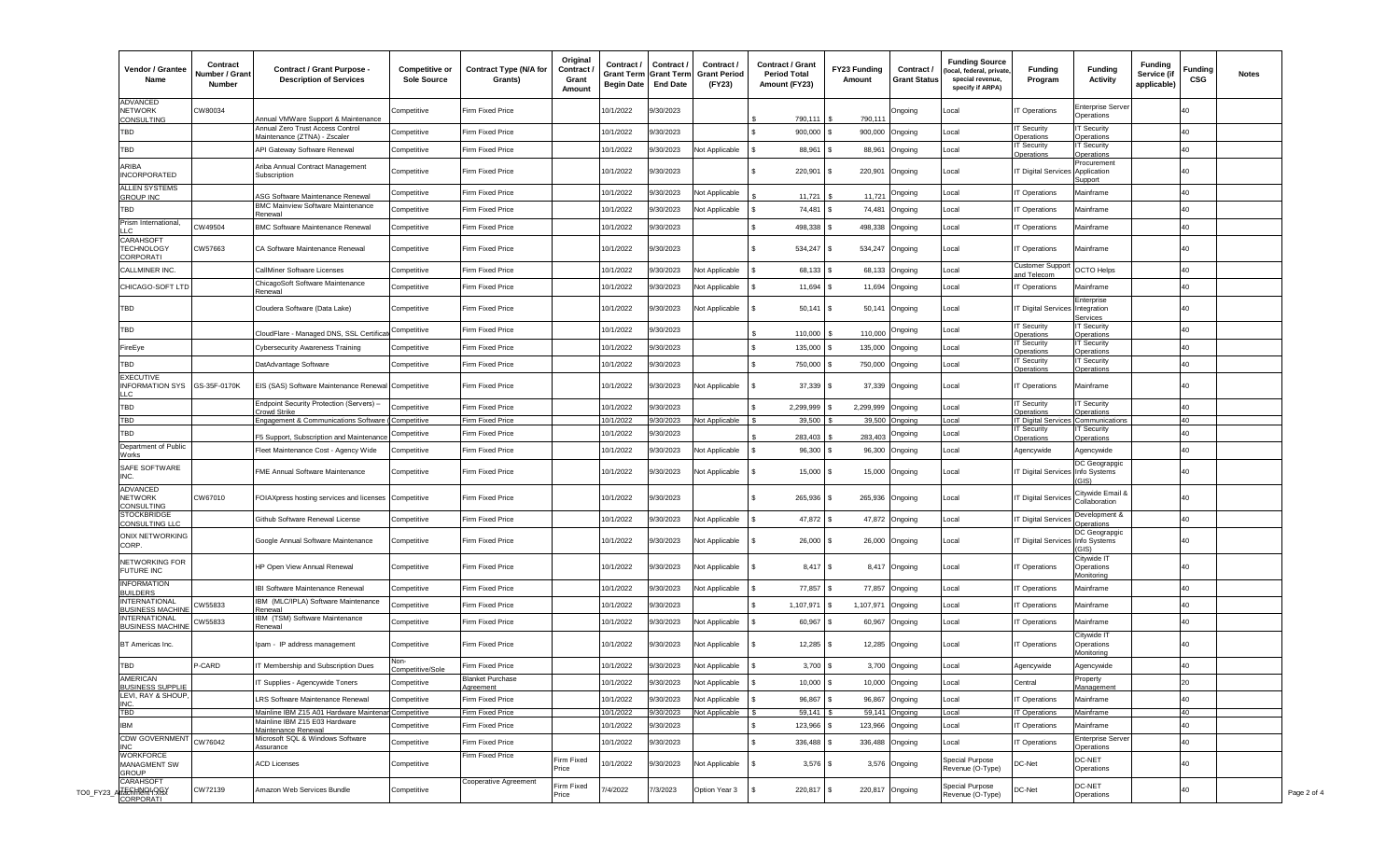| Vendor / Grantee<br>Name                                 | Contract<br>Number / Grant<br>Number | Contract / Grant Purpose -<br><b>Description of Services</b>    | <b>Competitive or</b><br>Sole Source | <b>Contract Type (N/A for</b><br>Grants) | Original<br>Contract<br>Grant<br>Amount | Contract /<br><b>Grant Term</b><br><b>Begin Date</b> | Contract /<br><b>Grant Term</b><br><b>End Date</b> | Contract /<br><b>Grant Period</b><br>(FY23) | <b>Contract / Grant</b><br><b>Period Total</b><br>Amount (FY23) | FY23 Funding<br>Amount | Contract /<br><b>Grant Status</b> | <b>Funding Source</b><br>local, federal, private<br>special revenue,<br>specify if ARPA) | <b>Funding</b><br>Program         | <b>Funding</b><br><b>Activity</b>            | <b>Funding</b><br>Service (if<br>applicable) | Funding<br>CSG | <b>Notes</b> |
|----------------------------------------------------------|--------------------------------------|-----------------------------------------------------------------|--------------------------------------|------------------------------------------|-----------------------------------------|------------------------------------------------------|----------------------------------------------------|---------------------------------------------|-----------------------------------------------------------------|------------------------|-----------------------------------|------------------------------------------------------------------------------------------|-----------------------------------|----------------------------------------------|----------------------------------------------|----------------|--------------|
| <b>ADVANCED</b><br>NETWORK<br>CONSULTING                 | CW80034                              | Annual VMWare Support & Maintenance                             | Competitive                          | Firm Fixed Price                         |                                         | 10/1/2022                                            | /30/2023                                           |                                             | 790.111                                                         | 790.11                 | Ongoing                           | Local                                                                                    | T Operations                      | <b>Enterprise Serve</b><br>Operations        |                                              | 40             |              |
| TBD                                                      |                                      | Annual Zero Trust Access Contro<br>Maintenance (ZTNA) - Zscaler | Competitive                          | irm Fixed Price                          |                                         | 10/1/2022                                            | 3/0/2023                                           |                                             | 900,000                                                         | 900,000                | Ongoing                           | Local                                                                                    | T Security<br>Operations          | <b>IT Security</b><br>Operations             |                                              | 40             |              |
| TBD                                                      |                                      | API Gateway Software Renewal                                    | Competitive                          | irm Fixed Price                          |                                         | 10/1/2022                                            | 3/0/2023                                           | lot Applicable                              | 88,961                                                          | 88,961                 | Ongoing                           | Local                                                                                    | T Security<br>perations           | <b>IT Security</b><br>Operations             |                                              | 40             |              |
| ARIBA<br><b>INCORPORATED</b>                             |                                      | Ariba Annual Contract Management<br>Subscription                | Competitive                          | Firm Fixed Price                         |                                         | 10/1/2022                                            | 3/0/2023                                           |                                             | 220,901                                                         | 220,901                | Ongoing                           | Local                                                                                    | T Digital Service                 | Procurement<br>Application<br>Support        |                                              | 40             |              |
| ALLEN SYSTEMS<br><b>GROUP INC</b>                        |                                      | <b>ASG Software Maintenance Renewal</b>                         | Competitive                          | irm Fixed Price                          |                                         | 10/1/2022                                            | 3/0/2023                                           | Not Applicable                              | 11,721                                                          | 11,721                 | Ongoing                           | Local                                                                                    | T Operations                      | Mainframe                                    |                                              | 40             |              |
| TBD                                                      |                                      | <b>BMC Mainview Software Maintenance</b><br>≷enewal             | Competitive                          | irm Fixed Price                          |                                         | 10/1/2022                                            | <b>1/30/2023</b>                                   | Not Applicable                              | 74,481                                                          | 74,481                 | Ongoing                           | Local                                                                                    | T Operations                      | Mainframe                                    |                                              | 40             |              |
| Prism International,                                     | CW49504                              | <b>BMC Software Maintenance Renewal</b>                         | Competitive                          | Firm Fixed Price                         |                                         | 10/1/2022                                            | 3/30/2023                                          |                                             | 498,338 \$                                                      | 498,338 Ongoing        |                                   | Local                                                                                    | Operations                        | Mainframe                                    |                                              | 40             |              |
| CARAHSOFT<br>TECHNOLOGY<br>CORPORATI                     | CW57663                              | CA Software Maintenance Renewal                                 | Competitive                          | Firm Fixed Price                         |                                         | 10/1/2022                                            | 3/0/2023                                           |                                             | 534,247                                                         | 534,247                | Ongoing                           | Local                                                                                    | Operations                        | Mainframe                                    |                                              | 40             |              |
| CALLMINER INC.                                           |                                      | CallMiner Software Licenses                                     | Competitive                          | irm Fixed Price                          |                                         | 10/1/2022                                            | 3/30/2023                                          | <b>Vot Applicable</b>                       | 68,133                                                          | 68,133                 | Ongoing                           | Local                                                                                    | Customer Suppo<br>and Telecom     | <b>OCTO Helps</b>                            |                                              | 40             |              |
| CHICAGO-SOFT LTD                                         |                                      | ChicagoSoft Software Maintenance<br>Renewal                     | Competitive                          | irm Fixed Price                          |                                         | 10/1/2022                                            | /30/2023                                           | lot Applicable                              | 11,694                                                          | 11,694                 | Ongoing                           | Local                                                                                    | T Operations                      | Mainframe                                    |                                              | 40             |              |
| TBD                                                      |                                      | Cloudera Software (Data Lake)                                   | Competitive                          | Firm Fixed Price                         |                                         | 10/1/2022                                            | 3/0/2023                                           | Not Applicable                              | $50,141$ \$                                                     | 50,141                 | Ongoing                           | Local                                                                                    | <b>T Digital Services</b>         | Enterprise<br>Integration<br><b>Services</b> |                                              | 40             |              |
| TBD                                                      |                                      | CloudFlare - Managed DNS, SSL Certifica                         | Competitive                          | Firm Fixed Price                         |                                         | 10/1/2022                                            | 3/30/2023                                          |                                             | 110,000                                                         | 110,000                | Ongoing                           | Local                                                                                    | <b>T</b> Security<br>perations    | <b>IT Security</b><br>Operations             |                                              | 40             |              |
| FireEye                                                  |                                      | <b>Cybersecurity Awareness Training</b>                         | Competitive                          | irm Fixed Price                          |                                         | 10/1/2022                                            | //30/2023                                          |                                             | 135,000                                                         | 135,000                | Ongoing                           | Local                                                                                    | T Security<br>perations           | <b>IT Security</b><br>Operations             |                                              | 40             |              |
| TBD                                                      |                                      | DatAdvantage Software                                           | Competitive                          | Firm Fixed Price                         |                                         | 10/1/2022                                            | 3/30/2023                                          |                                             | 750,000                                                         | 750,000 Ongoing        |                                   | Local                                                                                    | T Security<br>perations           | <b>IT Security</b><br>Operations             |                                              | 40             |              |
| <b>EXECUTIVE</b><br>INFORMATION SYS GS-35F-0170K<br>IIC. |                                      | EIS (SAS) Software Maintenance Renewal Competitive              |                                      | Firm Fixed Price                         |                                         | 10/1/2022                                            | /30/2023                                           | lot Applicable                              | 37,339 \$                                                       |                        | 37,339 Ongoing                    | Local                                                                                    | Operations                        | Mainframe                                    |                                              | 40             |              |
| TBD                                                      |                                      | Endpoint Security Protection (Servers) -<br>crowd Strike        | Competitive                          | irm Fixed Price                          |                                         | 10/1/2022                                            | 3/30/2023                                          |                                             | 2,299,999                                                       | 2,299,999              | Ongoing                           | Local                                                                                    | T Security<br>perations           | <b>IT Security</b><br>Operations             |                                              | 40             |              |
| TBD                                                      |                                      | Engagement & Communications Software (Competitive               |                                      | Firm Fixed Price                         |                                         | 10/1/2022                                            | /30/2023                                           | Not Applicable                              | 39,500                                                          |                        | 39,500 Ongoing                    | _ocal                                                                                    | T Digital Services Communications |                                              |                                              | 40             |              |
| TBD                                                      |                                      | F5 Support, Subscription and Maintenanc                         | Competitive                          | irm Fixed Price                          |                                         | 10/1/2022                                            | 3/30/2023                                          |                                             | 283,403                                                         | 283,403                | Ongoing                           | Local                                                                                    | Security<br>perations             | <b>T</b> Security<br>Operations              |                                              | 40             |              |
| Department of Public<br><u>Norks</u>                     |                                      | Fleet Maintenance Cost - Agency Wide                            | Competitive                          | irm Fixed Price                          |                                         | 10/1/2022                                            | 3/0/2023                                           | <b>Vot Applicable</b>                       | 96,300                                                          | 96,300                 | Ongoing                           | Local                                                                                    | Agencywide                        | Agencywide                                   |                                              | 40             |              |
| SAFE SOFTWARE<br>INC.                                    |                                      | FME Annual Software Maintenance                                 | Competitive                          | Firm Fixed Price                         |                                         | 10/1/2022                                            | 9/30/2023                                          | <b>Vot Applicable</b>                       | 15,000                                                          | 15,000                 | Ongoing                           | Local                                                                                    | T Digital Services Info Systems   | DC Geograpgic<br>(G S)                       |                                              | 40             |              |
| <b>ADVANCED</b><br><b>NETWORK</b><br>CONSULTING          | CW67010                              | FOIAXpress hosting services and licenses                        | Competitive                          | <b>Firm Fixed Price</b>                  |                                         | 10/1/2022                                            | 9/30/2023                                          |                                             | 265,936 \$                                                      | 265,936                | Ongoing                           | Local                                                                                    | <b>T Digital Services</b>         | Citywide Email &<br>Collaboration            |                                              | 40             |              |
| <b>STOCKBRIDGE</b><br>CONSULTING LLC                     |                                      | Github Software Renewal License                                 | Competitive                          | Firm Fixed Price                         |                                         | 10/1/2022                                            | 3/0/2023                                           | <b>Vot Applicable</b>                       | 47,872 \$                                                       |                        | 47,872 Ongoing                    | Local                                                                                    | <b>T Digital Services</b>         | Development &<br>Operations                  |                                              | 40             |              |
| ONIX NETWORKING<br>CORP.                                 |                                      | Google Annual Software Maintenance                              | Competitive                          | Firm Fixed Price                         |                                         | 10/1/2022                                            | <b>1/30/2023</b>                                   | <b>Vot Applicable</b>                       | 26,000                                                          | 26,000                 | Ongoing                           | Local                                                                                    | T Digital Services Info Systems   | DC Geograpgic                                |                                              | 40             |              |
| NETWORKING FOR<br>FUTURE INC                             |                                      | HP Open View Annual Renewal                                     | Competitive                          | Firm Fixed Price                         |                                         | 10/1/2022                                            | /30/2023                                           | <b>Vot Applicable</b>                       | $8,417$ \$                                                      |                        | 8,417 Ongoing                     | Local                                                                                    | Operations                        | Citywide IT<br>Operations<br>Monitoring      |                                              | 40             |              |
| <b>INFORMATION</b><br><b>BUILDERS</b>                    |                                      | IBI Software Maintenance Renewal                                | Competitive                          | Firm Fixed Price                         |                                         | 10/1/2022                                            | /30/2023                                           | Not Applicable                              | 77,857                                                          | 77,857                 | Ongoing                           | Local                                                                                    | T Operations                      | Mainframe                                    |                                              | 40             |              |
| INTERNATIONAL<br><b>BUSINESS MACHINE</b>                 | CW55833                              | IBM (MLC/IPLA) Software Maintenance<br>Renewal                  | Competitive                          | Firm Fixed Price                         |                                         | 10/1/2022                                            | /30/2023                                           |                                             | 1,107,971                                                       | 1,107,971              | Ongoing                           | Local                                                                                    | T Operations                      | Mainframe                                    |                                              | 40             |              |
| <b>INTERNATIONAL</b><br><b>BUSINESS MACHINE</b>          | CW55833                              | IBM (TSM) Software Maintenance                                  | Competitive                          | Firm Fixed Price                         |                                         | 10/1/2022                                            | /30/2023                                           | <b>Vot Applicable</b>                       | 60,967                                                          | 60,967                 | Ongoing                           | Local                                                                                    | Operations                        | Mainframe                                    |                                              | 40             |              |
| BT Americas Inc.                                         |                                      | Renewal<br>Ipam - IP address management                         | Competitive                          | Firm Fixed Price                         |                                         | 10/1/2022                                            | /30/2023                                           | lot Applicable                              | $12,285$ \$                                                     |                        | 12,285 Ongoing                    | Local                                                                                    | Operations                        | Citywide IT<br>Operations                    |                                              | 40             |              |
| TBD                                                      | P-CARD                               | IT Membership and Subscription Dues                             | Competitive/Sole                     | Firm Fixed Price                         |                                         | 10/1/2022                                            | 3/30/2023                                          | Not Applicable                              | $3,700$ \$                                                      |                        | 3,700 Ongoing                     | Local                                                                                    | Agencywide                        | Monitoring<br>Agencywide                     |                                              | 40             |              |
| AMERICAN<br><b>BUSINESS SUPPLIE</b>                      |                                      | IT Supplies - Agencywide Toners                                 | Competitive                          | <b>Blanket Purchase</b><br>Agreement     |                                         | 10/1/2022                                            | 9/30/2023                                          | Not Applicable                              | $10,000$ \$                                                     |                        | 10,000 Ongoing                    | Local                                                                                    | Central                           | Property<br>Management                       |                                              | 20             |              |
| LEVI, RAY & SHOUP,                                       |                                      | LRS Software Maintenance Renewal                                | Competitive                          | irm Fixed Price                          |                                         | 10/1/2022                                            | 9/30/2023                                          | <b>Vot Applicable</b>                       | 96,867 \$                                                       |                        | 96,867 Ongoing                    | Local                                                                                    | T Operations                      | Mainframe                                    |                                              | 40             |              |
| TBD                                                      |                                      | Mainline IBM Z15 A01 Hardware Maintenar Competitive             |                                      | Firm Fixed Price                         |                                         | 0/1/2022                                             | /30/2023                                           | Not Applicable                              | 59,141                                                          |                        | 59,141 Ongoing                    | Local                                                                                    | IT Operations                     | Mainframe                                    |                                              | 40             |              |
| <b>IBM</b>                                               |                                      | Mainline IBM Z15 E03 Hardware<br>Maintenance Renewal            | Competitive                          | irm Fixed Price                          |                                         | 10/1/2022                                            | 3/30/2023                                          |                                             | 123,966                                                         | 123,966                | Ongoing                           | Local                                                                                    | T Operations                      | Mainframe                                    |                                              | 40             |              |
| <b>CDW GOVERNMENT</b><br><b>INC</b>                      | CW76042                              | Microsoft SQL & Windows Software<br>Assurance                   | Competitive                          | Firm Fixed Price                         |                                         | 10/1/2022                                            | 3/30/2023                                          |                                             | 336,488 \$                                                      | 336,488                | Ongoing                           | Local                                                                                    | T Operations                      | <b>Enterprise Serve</b><br>Operations        |                                              | 40             |              |
| <b>WORKFORCE</b><br><b>MANAGMENT SW</b><br>GROUP         |                                      | <b>ACD Licenses</b>                                             | Competitive                          | Firm Fixed Price                         | Firm Fixed<br>Price                     | 10/1/2022                                            | 9/30/2023                                          | Not Applicable                              | $3,576$ \$                                                      |                        | 3,576 Ongoing                     | <b>Special Purpose</b><br>Revenue (O-Type)                                               | DC-Net                            | DC-NET<br>Operations                         |                                              | 40             |              |
| <b>CARAHSOFT</b><br>TOO_FY23_ATTERHANDUREY               | CW72139                              | Amazon Web Services Bundle                                      | Competitive                          | Cooperative Agreement                    | Firm Fixed<br>Price                     | /4/2022                                              | /3/2023                                            | Option Year 3                               | 220,817 \$                                                      |                        | 220,817 Ongoing                   | <b>Special Purpose</b><br>Revenue (O-Type)                                               | DC-Net                            | DC-NET<br>Operations                         |                                              | 40             |              |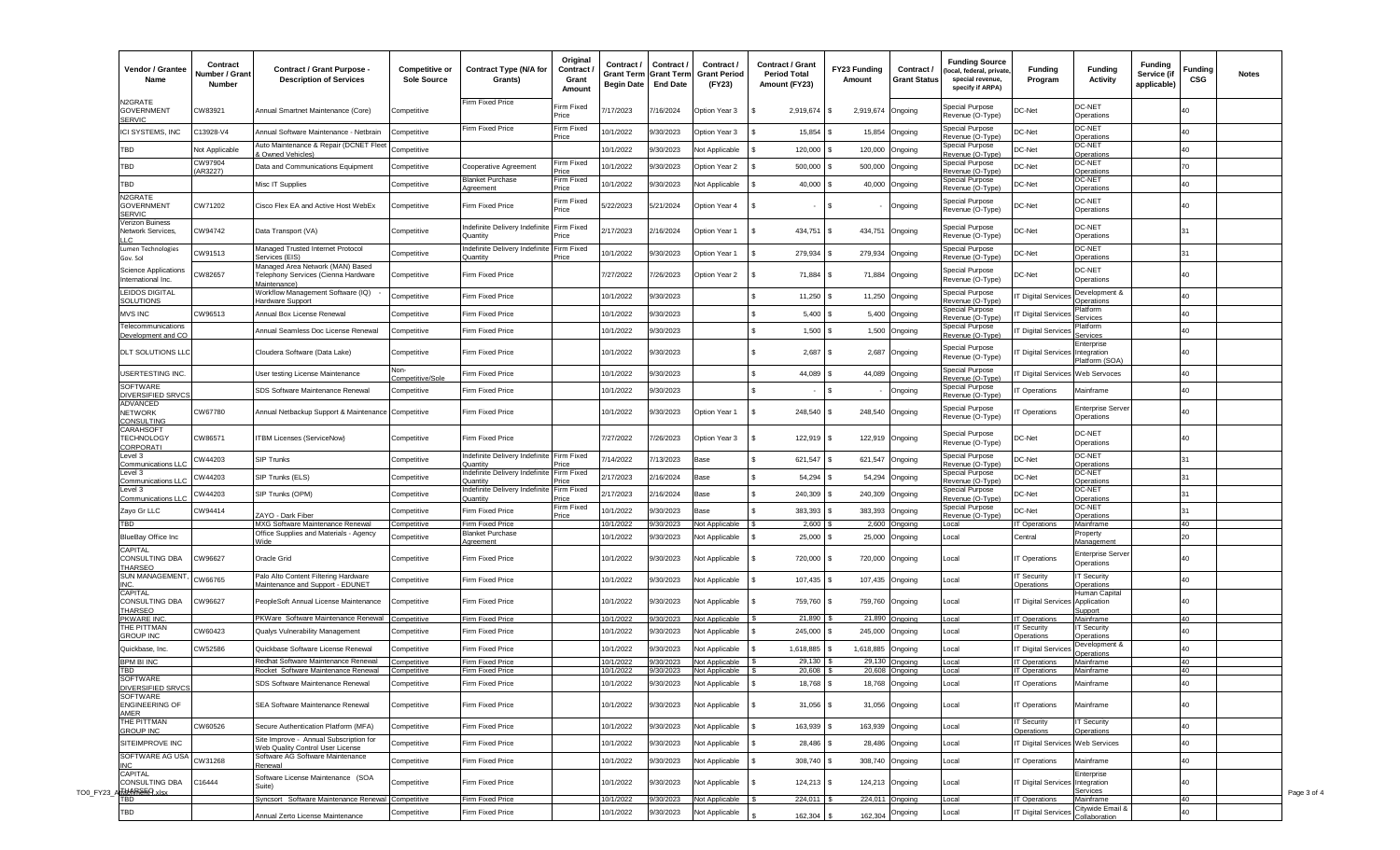| Vendor / Grantee<br>Name                                              | Contract<br>Number / Grant<br>Number | <b>Contract / Grant Purpose -</b><br><b>Description of Services</b>                     | <b>Competitive or</b><br>Sole Source | <b>Contract Type (N/A for</b><br>Grants)          | Original<br>Contract<br>Grant<br>Amount | Contract /<br>Grant Term<br><b>Begin Date</b> | Contract /<br>Grant Term<br><b>End Date</b> | Contract /<br>Grant Period<br>(FY23)           | <b>Contract / Grant</b><br><b>Period Total</b><br>Amount (FY23) | FY23 Funding<br>Amount | Contract /<br><b>Grant Status</b> | <b>Funding Source</b><br>(local, federal, private<br>special revenue,<br>specify if ARPA) | <b>Funding</b><br>Program                     | <b>Funding</b><br><b>Activity</b>       | <b>Funding</b><br>Service (if<br>applicable) | Funding<br>CSG        | Notes |
|-----------------------------------------------------------------------|--------------------------------------|-----------------------------------------------------------------------------------------|--------------------------------------|---------------------------------------------------|-----------------------------------------|-----------------------------------------------|---------------------------------------------|------------------------------------------------|-----------------------------------------------------------------|------------------------|-----------------------------------|-------------------------------------------------------------------------------------------|-----------------------------------------------|-----------------------------------------|----------------------------------------------|-----------------------|-------|
| N2GRATE<br><b>GOVERNMENT</b><br><b>SERVIC</b>                         | CW83921                              | Annual Smartnet Maintenance (Core)                                                      | Competitive                          | Firm Fixed Price                                  | irm Fixed<br>Price                      | 17/2023                                       | /16/2024                                    | Option Year 3                                  | 2,919,674 \$                                                    | 2,919,674              | Ongoing                           | Special Purpose<br>Revenue (O-Type)                                                       | C-Net                                         | DC-NET<br>Operations                    |                                              | 40                    |       |
| ICI SYSTEMS, INC                                                      | C13928-V4                            | Annual Software Maintenance - Netbrain                                                  | Competitive                          | Firm Fixed Price                                  | Firm Fixed<br><sup>o</sup> rice         | 0/1/2022                                      | /30/2023                                    | Option Year 3                                  | 15,854                                                          | 15,854                 | Ongoing                           | Special Purpose<br>Revenue (O-Type                                                        | C-Net                                         | DC-NET<br>Operations                    |                                              | 40                    |       |
| TBD                                                                   | Not Applicable                       | Auto Maintenance & Repair (DCNET Flee                                                   | Competitive                          |                                                   |                                         | 10/1/2022                                     | /30/2023                                    | <b>Vot Applicable</b>                          | 120,000                                                         | 120,000                | Ongoing                           | Special Purpose                                                                           | C-Net                                         | DC-NET                                  |                                              | 40                    |       |
| TBD                                                                   | CW97904                              | & Owned Vehicles)                                                                       |                                      |                                                   | irm Fixed                               | 0/1/2022                                      |                                             |                                                |                                                                 |                        |                                   | Revenue (O-Type)<br><b>Special Purpose</b>                                                | C-Net                                         | Operations<br>DC-NET                    |                                              | 70                    |       |
|                                                                       | (AR3227)                             | Data and Communications Equipment                                                       | Competitive                          | Cooperative Agreement                             | rice                                    |                                               | /30/2023                                    | Option Year 2                                  | 500,000                                                         | 500,000                | Ongoing                           | Revenue (O-Type)                                                                          |                                               | Operations                              |                                              |                       |       |
| TBD                                                                   |                                      | Misc IT Supplies                                                                        | Competitive                          | <b>Blanket Purchase</b><br>greement               | Firm Fixed<br>rice                      | 0/1/2022                                      | /30/2023                                    | lot Applicable                                 | 40,000 \$                                                       |                        | 40,000 Ongoing                    | <b>Special Purpose</b><br>Revenue (O-Type)                                                | DC-Net                                        | <b>DC-NET</b><br>Operations             |                                              | 40                    |       |
| N2GRATE<br><b>GOVERNMENT</b><br><b>SERVIC</b>                         | CW71202                              | Cisco Flex EA and Active Host WebEx                                                     | Competitive                          | Firm Fixed Price                                  | Firm Fixed<br>Price                     | 5/22/2023                                     | 5/21/2024                                   | Option Year 4                                  |                                                                 |                        | Ongoing                           | Special Purpose<br>Revenue (O-Type)                                                       | DC-Net                                        | DC-NET<br>Operations                    |                                              | 40                    |       |
| Verizon Buiness<br>Network Services,<br>$\overline{1}$ $\overline{C}$ | CW94742                              | Data Transport (VA)                                                                     | Competitive                          | Indefinite Delivery Indefinite<br>Quantity        | Firm Fixed<br>rice                      | /17/2023                                      | 16/2024                                     | Option Year 1                                  | 434,751 \$                                                      | 434,751                | Ongoing                           | Special Purpose<br>Revenue (O-Type)                                                       | DC-Net                                        | DC-NET<br>Operations                    |                                              |                       |       |
| Lumen Technologies<br>Gov. Sol                                        | CW91513                              | Managed Trusted Internet Protocol<br>ervices (EIS)                                      | Competitive                          | Indefinite Delivery Indefinite<br><b>Juantity</b> | Firm Fixed<br>rice.                     | 0/1/2022                                      | /30/2023                                    | Option Year 1                                  | 279,934                                                         | 279,934                | Ongoing                           | Special Purpose<br>evenue (O-Type)                                                        | DC-Net                                        | DC-NET<br>Operations                    |                                              |                       |       |
| Science Applications<br>International Inc.                            | CW82657                              | Managed Area Network (MAN) Based<br>Telephony Services (Cienna Hardware<br>Maintenance) | Competitive                          | Firm Fixed Price                                  |                                         | 7/27/2022                                     | /26/2023                                    | Option Year 2                                  | 71,884 \$                                                       | 71,884                 | Ongoing                           | <b>Special Purpose</b><br>Revenue (O-Type)                                                | DC-Net                                        | DC-NET<br>Operations                    |                                              | 40                    |       |
| <b>LEIDOS DIGITAL</b><br>SOLUTIONS                                    |                                      | Workflow Management Software (IQ)<br>Hardware Support                                   | Competitive                          | Firm Fixed Price                                  |                                         | 10/1/2022                                     | 3/30/2023                                   |                                                | 11,250                                                          |                        | 11,250 Ongoing                    | Special Purpose<br>Revenue (O-Type)                                                       | Digital Service                               | Development &<br>Operations             |                                              | 40                    |       |
| <b>MVS INC</b>                                                        | CW96513                              | Annual Box License Renewal                                                              | Competitive                          | Firm Fixed Price                                  |                                         | 10/1/2022                                     | 3/30/2023                                   |                                                | 5,400                                                           |                        | 5,400 Ongoing                     | Special Purpose                                                                           | Digital Service                               | Platform                                |                                              | 40                    |       |
| Felecommunications                                                    |                                      |                                                                                         |                                      |                                                   |                                         |                                               |                                             |                                                |                                                                 |                        |                                   | Revenue (O-Type)<br>Special Purpose                                                       |                                               | Services<br>Platform                    |                                              |                       |       |
| Development and CO                                                    |                                      | Annual Seamless Doc License Renewal                                                     | Competitive                          | Firm Fixed Price                                  |                                         | 10/1/2022                                     | 3/0/2023                                    |                                                | $1,500$ \$                                                      |                        | 1,500 Ongoing                     | Revenue (O-Type                                                                           | Digital Service                               | Services                                |                                              | 40                    |       |
| <b>DLT SOLUTIONS LLC</b>                                              |                                      | Cloudera Software (Data Lake)                                                           | Competitive                          | Firm Fixed Price                                  |                                         | 10/1/2022                                     | /30/2023                                    |                                                | 2,687                                                           | 2,687<br>l \$          | Ongoing                           | Special Purpose<br>Revenue (O-Type)                                                       | Digital Services Integration                  | Enterprise<br>Platform (SOA)            |                                              | 40                    |       |
| <b>JSERTESTING INC.</b>                                               |                                      | Jser testing License Maintenance                                                        | Non-<br>Competitive/Sole             | irm Fixed Price                                   |                                         | 10/1/2022                                     | /30/2023                                    |                                                | 44,089                                                          |                        | 44,089 Ongoing                    | Special Purpose<br>evenue (O-Type                                                         | Digital Services Web Servoces                 |                                         |                                              | 40                    |       |
| SOFTWARE<br>DIVERSIFIED SRVC                                          |                                      | SDS Software Maintenance Renewal                                                        | Competitive                          | irm Fixed Price                                   |                                         | 10/1/2022                                     | 3/0/2023                                    |                                                |                                                                 |                        | Ongoing                           | Special Purpose<br>Revenue (O-Type                                                        | Operations                                    | Mainframe                               |                                              | 40                    |       |
| ADVANCED<br>NETWORK<br>CONSULTING                                     | CW67780                              | Annual Netbackup Support & Maintenance Competitive                                      |                                      | Firm Fixed Price                                  |                                         | 10/1/2022                                     | 3/0/2023                                    | Option Year 1                                  | 248,540                                                         | 248,540 Ongoing        |                                   | <b>Special Purpose</b><br>Revenue (O-Type)                                                | Operations                                    | <b>Enterprise Serve</b><br>Operations   |                                              | 40                    |       |
| <b>CARAHSOFT</b><br><b><i>FECHNOLOGY</i></b><br>CORPORATI             | CW86571                              | ITBM Licenses (ServiceNow)                                                              | Competitive                          | <b>Firm Fixed Price</b>                           |                                         | 7/27/2022                                     | /26/2023                                    | Option Year 3                                  | 122,919                                                         | 122,919 Ongoing        |                                   | Special Purpose<br>Revenue (O-Type)                                                       | DC-Net                                        | DC-NET<br>Operations                    |                                              | 40                    |       |
| Level 3<br>ommunications LLC                                          | CW44203                              | <b>SIP Trunks</b>                                                                       | Competitive                          | Indefinite Delivery Indefinite<br>)uantit         | Firm Fixed                              | /14/2022                                      | /13/2023                                    | Base                                           | 621,547                                                         | 621,547                | Ongoing                           | <b>Special Purpose</b><br>Revenue (O-Type                                                 | DC-Net                                        | DC-NET<br>Operations                    |                                              |                       |       |
| Level 3                                                               | CW44203                              | SIP Trunks (ELS)                                                                        | Competitive                          | Indefinite Delivery Indefinite                    | irm Fixed                               | /17/2023                                      | 2/16/2024                                   | Base                                           | 54,294                                                          | 54,294                 | Ongoing                           | Special Purpose                                                                           | DC-Net                                        | DC-NET                                  |                                              |                       |       |
| ommunications LLC<br>evel 3.                                          | CW44203                              |                                                                                         |                                      | ≀uantity<br>ndefinite Delivery Indefinite         | irm Fixed                               | 17/2023                                       | 16/2024                                     |                                                | 240,309                                                         | 240,309                |                                   | evenue (O-Type<br>Special Purpose                                                         | DC-Net                                        | Operations<br>DC-NET                    |                                              |                       |       |
| <b>Communications LLC</b>                                             |                                      | SIP Trunks (OPM)                                                                        | Competitive                          | <b>Quantity</b>                                   | Firm Fixed                              |                                               |                                             | Base                                           |                                                                 |                        | Ongoing                           | evenue (O-Type<br>Special Purpose                                                         |                                               | Operations<br><b>DC-NET</b>             |                                              |                       |       |
| Zayo Gr LLC                                                           | CW94414                              | ZAYO - Dark Fiber                                                                       | Competitive                          | Firm Fixed Price                                  | Price                                   | 0/1/2022                                      | /30/2023                                    | ase                                            | 383,393                                                         | 383,393                | Ongoing                           | evenue (O-Type)                                                                           | C-Net                                         | Operations                              |                                              |                       |       |
| BD.                                                                   |                                      | MXG Software Maintenance Renewal<br>Office Supplies and Materials - Agency              | Competitive                          | irm Fixed Price<br>Blanket Purchase               |                                         | 0/1/2022                                      | /30/2023                                    | <b>Vot Applicable</b>                          | 2,600                                                           |                        | $2,600$ Ongoing                   | _ocal                                                                                     | T Operations                                  | Mainframe<br>Property                   |                                              | 40                    |       |
| BlueBay Office Inc<br>CAPITAL<br>CONSULTING DBA                       | CW96627                              | Wide<br>Oracle Grid                                                                     | Competitive<br>Competitive           | greement<br>Firm Fixed Price                      |                                         | 10/1/2022<br>10/1/2022                        | /30/2023<br><b>1/30/2023</b>                | <b>Vot Applicable</b><br><b>Vot Applicable</b> | 25,000<br>720,000                                               | 25,000<br>720,000      | Ongoing<br>Ongoing                | Local<br>Local                                                                            | Central<br>T Operations                       | Management<br><b>Enterprise Server</b>  |                                              | 20 <sub>0</sub><br>40 |       |
| <b>THARSEO</b><br><b>SUN MANAGEMENT</b>                               |                                      | Palo Alto Content Filtering Hardware                                                    |                                      |                                                   |                                         |                                               |                                             |                                                |                                                                 |                        |                                   |                                                                                           | T Security                                    | Operations<br><b>IT Security</b>        |                                              |                       |       |
| INC.                                                                  | CW66765                              | Maintenance and Support - EDUNET                                                        | Competitive                          | Firm Fixed Price                                  |                                         | 10/1/2022                                     | /30/2023                                    | <b>Not Applicable</b>                          | 107,435                                                         | 107,435                | Ongoing                           | Local                                                                                     | perations                                     | Operations                              |                                              | 40                    |       |
| CAPITAL<br>CONSULTING DBA<br><b>THARSEO</b>                           | CW96627                              | PeopleSoft Annual License Maintenance                                                   | Competitive                          | Firm Fixed Price                                  |                                         | 10/1/2022                                     | /30/2023                                    | lot Applicable                                 | 759,760 \$                                                      | 759,760 Ongoing        |                                   | Local                                                                                     | <b>Digital Services</b>                       | Human Capital<br>Application<br>Support |                                              | 40                    |       |
| PKWARE INC<br>THE PITTMAN                                             |                                      | PKWare Software Maintenance Renewal                                                     | Competitive                          | Firm Fixed Price                                  |                                         | 10/1/2022                                     | /30/2023                                    | Not Applicable                                 | 21,890                                                          |                        | 21,890 Ongoing                    | Local                                                                                     | T Operations<br>T Security                    | Mainframe<br><b>T Security</b>          |                                              | 40                    |       |
| <b>GROUP INC</b>                                                      | CW60423                              | Qualys Vulnerability Management                                                         | Competitive                          | irm Fixed Price                                   |                                         | 10/1/2022                                     | 3/0/2023                                    | lot Applicable                                 | 245,000                                                         | 245,000 Ongoing        |                                   | Local                                                                                     | perations                                     | Operations                              |                                              | 40                    |       |
| Quickbase, Inc.                                                       | CW52586                              | Quickbase Software License Renewal                                                      | Competitive                          | irm Fixed Price                                   |                                         | 10/1/2022                                     | /30/2023                                    | lot Applicable                                 | 1,618,885                                                       | 1,618,885              | Ongoing                           | Local                                                                                     | Digital Service                               | Development &<br>Operations             |                                              | 40                    |       |
| <b>BPM BI INC</b><br>ГBD                                              |                                      | Redhat Software Maintenance Renewal<br>Rocket Software Maintenance Renewal              | Competitive                          | <b>Firm Fixed Price</b><br>Firm Fixed Price       |                                         | 0/1/2022<br>10/1/2022                         | 9/30/2023<br><b>1/30/2023</b>               | Not Applicable<br>Not Applicable               | 29,130<br>20,608                                                |                        | 29,130 Ongoing<br>20,608 Ongoing  | Local<br>Local                                                                            | T Operations<br>T Operations                  | Mainframe<br>Mainframe                  |                                              | 40                    |       |
| SOFTWARE                                                              |                                      | SDS Software Maintenance Renewal                                                        | Competitive<br>Competitive           | Firm Fixed Price                                  |                                         | 10/1/2022                                     | 3/0/2023                                    | Not Applicable                                 | 18,768 \$                                                       |                        | 18,768 Ongoing                    | Local                                                                                     | T Operations                                  | Mainframe                               |                                              | 40<br>40              |       |
| <b>DIVERSIFIED SRVCS</b><br>SOFTWARE<br><b>ENGINEERING OF</b>         |                                      | SEA Software Maintenance Renewal                                                        | Competitive                          | Firm Fixed Price                                  |                                         | 10/1/2022                                     | 9/30/2023                                   | Not Applicable                                 | $31,056$ \$                                                     |                        | 31,056 Ongoing                    | Local                                                                                     | T Operations                                  | Mainframe                               |                                              | 40                    |       |
| AMER<br>THE PITTMAN                                                   | CW60526                              | Secure Authentication Platform (MFA)                                                    | Competitive                          | Firm Fixed Price                                  |                                         | 10/1/2022                                     | 9/30/2023                                   | Not Applicable                                 | 163,939 \$                                                      |                        | 163,939 Ongoing                   | Local                                                                                     | T Security                                    | <b>IT Security</b>                      |                                              | 40                    |       |
| <b>GROUP INC</b><br>SITEIMPROVE INC                                   |                                      | Site Improve - Annual Subscription for                                                  | Competitive                          | Firm Fixed Price                                  |                                         | 10/1/2022                                     | 9/30/2023                                   | <b>Vot Applicable</b>                          | 28,486 \$                                                       |                        | 28,486 Ongoing                    | Local                                                                                     | Operations<br>T Digital Services Web Services | Operations                              |                                              | 40                    |       |
| SOFTWARE AG USA                                                       |                                      | <b>Web Quality Control User License</b><br>Software AG Software Maintenance             |                                      |                                                   |                                         |                                               |                                             |                                                |                                                                 |                        |                                   |                                                                                           |                                               |                                         |                                              |                       |       |
| <b>CAPITAL</b>                                                        | CW31268                              | Renewal<br>Software License Maintenance (SOA                                            | Competitive                          | Firm Fixed Price                                  |                                         | 10/1/2022                                     | 9/30/2023                                   | Not Applicable                                 | 308,740 \$                                                      | 308,740 Ongoing        |                                   | Local                                                                                     | T Operations                                  | Mainframe<br>Enterprise                 |                                              | 40                    |       |
| CONSULTING DBA<br>TOO_FY23_ALLHARSEQ xls                              | C16444                               | Suite)                                                                                  | Competitive                          | <b>Firm Fixed Price</b>                           |                                         | 10/1/2022                                     | 9/30/2023                                   | Not Applicable                                 | 124,213 \$                                                      |                        | 124,213 Ongoing                   | Local                                                                                     | T Digital Services Integration                | Services                                |                                              | 40                    |       |
| <b>FBD</b>                                                            |                                      | Syncsort Software Maintenance Renewal Competitive                                       |                                      | irm Fixed Price                                   |                                         | 10/1/2022                                     | 3/30/2023                                   | Not Applicable                                 | 224,011 \$                                                      | 224,011 Ongoing        |                                   | Local                                                                                     | T Operations                                  | Mainframe<br>Citywide Email &           |                                              | 40                    |       |
| TBD                                                                   |                                      | Annual Zerto License Maintenance                                                        | Competitive                          | irm Fixed Price                                   |                                         | 10/1/2022                                     | 9/30/2023                                   | Not Applicable                                 | 162,304                                                         | 162,304                | Ongoing                           | Local                                                                                     | <b>T Digital Services</b>                     | Collaboration                           |                                              | 40                    |       |